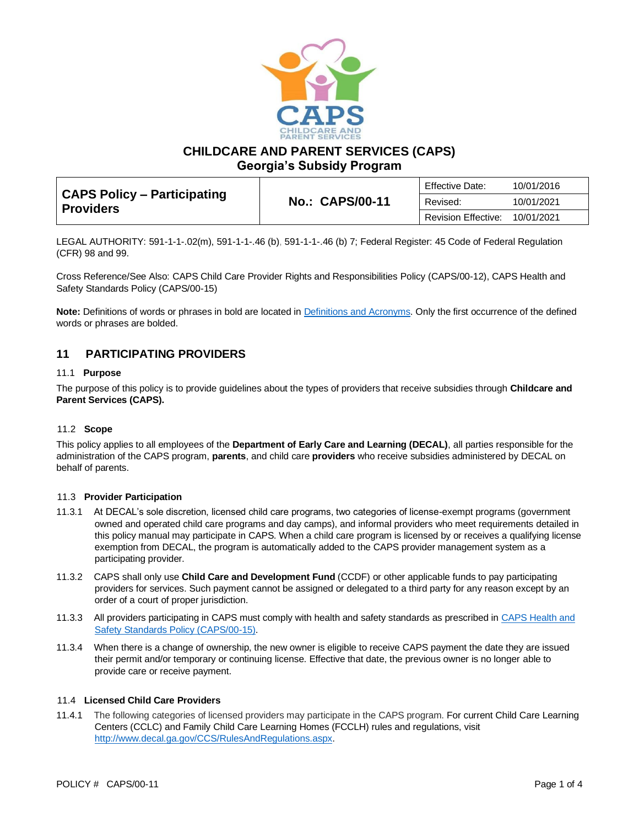

**CHILDCARE AND PARENT SERVICES (CAPS)**

**Georgia's Subsidy Program**

| CAPS Policy – Participating<br><b>Providers</b> | <b>No.: CAPS/00-11</b> | <b>Effective Date:</b>     | 10/01/2016 |
|-------------------------------------------------|------------------------|----------------------------|------------|
|                                                 |                        | Revised:                   | 10/01/2021 |
|                                                 |                        | <b>Revision Effective:</b> | 10/01/2021 |

LEGAL AUTHORITY: 591-1-1-.02(m), 591-1-1-.46 (b), 591-1-1-.46 (b) 7; Federal Register: 45 Code of Federal Regulation (CFR) 98 and 99.

Cross Reference/See Also: CAPS Child Care Provider Rights and Responsibilities Policy (CAPS/00-12), CAPS Health and Safety Standards Policy (CAPS/00-15)

**Note:** Definitions of words or phrases in bold are located in [Definitions and](https://caps.decal.ga.gov/assets/downloads/CAPS/02-CAPS_Policy-Definitions%20and%20Acronyms.pdf) Acronyms. Only the first occurrence of the defined words or phrases are bolded.

# **11 PARTICIPATING PROVIDERS**

### 11.1 **Purpose**

The purpose of this policy is to provide guidelines about the types of providers that receive subsidies through **Childcare and Parent Services (CAPS).**

# 11.2 **Scope**

This policy applies to all employees of the **Department of Early Care and Learning (DECAL)**, all parties responsible for the administration of the CAPS program, **parents**, and child care **providers** who receive subsidies administered by DECAL on behalf of parents.

#### 11.3 **Provider Participation**

- 11.3.1 At DECAL's sole discretion, licensed child care programs, two categories of license-exempt programs (government owned and operated child care programs and day camps), and informal providers who meet requirements detailed in this policy manual may participate in CAPS. When a child care program is licensed by or receives a qualifying license exemption from DECAL, the program is automatically added to the CAPS provider management system as a participating provider.
- 11.3.2 CAPS shall only use **Child Care and Development Fund** (CCDF) or other applicable funds to pay participating providers for services. Such payment cannot be assigned or delegated to a third party for any reason except by an order of a court of proper jurisdiction.
- 11.3.3 All providers participating in CAPS must comply with health and safety standards as prescribed in [CAPS Health and](https://caps.decal.ga.gov/assets/downloads/CAPS/15-CAPS_Policy-Health%20and%20Safety%20Standards.pdf)  [Safety Standards Policy \(CAPS/00-15\).](https://caps.decal.ga.gov/assets/downloads/CAPS/15-CAPS_Policy-Health%20and%20Safety%20Standards.pdf)
- 11.3.4 When there is a change of ownership, the new owner is eligible to receive CAPS payment the date they are issued their permit and/or temporary or continuing license. Effective that date, the previous owner is no longer able to provide care or receive payment.

#### 11.4 **Licensed Child Care Providers**

11.4.1 The following categories of licensed providers may participate in the CAPS program. For current Child Care Learning Centers (CCLC) and Family Child Care Learning Homes (FCCLH) rules and regulations, visit [http://www.decal.ga.gov/CCS/RulesAndRegulations.aspx.](http://www.decal.ga.gov/CCS/RulesAndRegulations.aspx)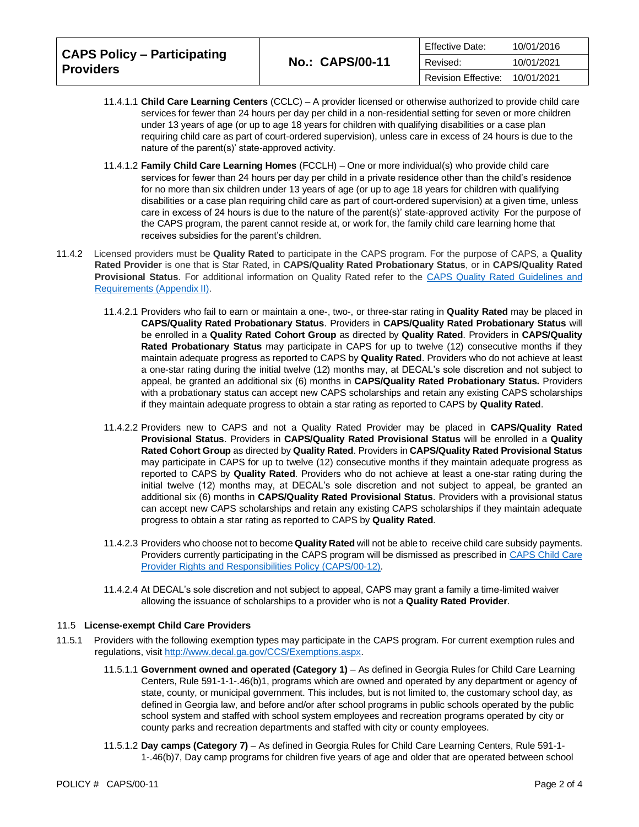| <b>CAPS Policy – Participating</b><br><b>Providers</b> | <b>No.: CAPS/00-11</b> | Effective Date:            | 10/01/2016 |
|--------------------------------------------------------|------------------------|----------------------------|------------|
|                                                        |                        | Revised:                   | 10/01/2021 |
|                                                        |                        | <b>Revision Effective:</b> | 10/01/2021 |

- 11.4.1.1 **Child Care Learning Centers** (CCLC) A provider licensed or otherwise authorized to provide child care services for fewer than 24 hours per day per child in a non-residential setting for seven or more children under 13 years of age (or up to age 18 years for children with qualifying disabilities or a case plan requiring child care as part of court-ordered supervision), unless care in excess of 24 hours is due to the nature of the parent(s)' state-approved activity.
- 11.4.1.2 **Family Child Care Learning Homes** (FCCLH) One or more individual(s) who provide child care services for fewer than 24 hours per day per child in a private residence other than the child's residence for no more than six children under 13 years of age (or up to age 18 years for children with qualifying disabilities or a case plan requiring child care as part of court-ordered supervision) at a given time, unless care in excess of 24 hours is due to the nature of the parent(s)' state-approved activity For the purpose of the CAPS program, the parent cannot reside at, or work for, the family child care learning home that receives subsidies for the parent's children.
- 11.4.2 Licensed providers must be **Quality Rated** to participate in the CAPS program. For the purpose of CAPS, a **Quality Rated Provider** is one that is Star Rated, in **CAPS/Quality Rated Probationary Status**, or in **CAPS/Quality Rated Provisional Status**. For additional information on Quality Rated refer to the [CAPS Quality Rated Guidelines and](https://caps.decal.ga.gov/assets/downloads/CAPS/Appendix_II-CAPS%20Quality%20Rated%20Guidelines%20and%20Requirements.pdf)  [Requirements \(Appendix II\).](https://caps.decal.ga.gov/assets/downloads/CAPS/Appendix_II-CAPS%20Quality%20Rated%20Guidelines%20and%20Requirements.pdf)
	- 11.4.2.1 Providers who fail to earn or maintain a one-, two-, or three-star rating in **Quality Rated** may be placed in **CAPS/Quality Rated Probationary Status**. Providers in **CAPS/Quality Rated Probationary Status** will be enrolled in a **Quality Rated Cohort Group** as directed by **Quality Rated**. Providers in **CAPS/Quality Rated Probationary Status** may participate in CAPS for up to twelve (12) consecutive months if they maintain adequate progress as reported to CAPS by **Quality Rated**. Providers who do not achieve at least a one-star rating during the initial twelve (12) months may, at DECAL's sole discretion and not subject to appeal, be granted an additional six (6) months in **CAPS/Quality Rated Probationary Status.** Providers with a probationary status can accept new CAPS scholarships and retain any existing CAPS scholarships if they maintain adequate progress to obtain a star rating as reported to CAPS by **Quality Rated**.
	- 11.4.2.2 Providers new to CAPS and not a Quality Rated Provider may be placed in **CAPS/Quality Rated Provisional Status**. Providers in **CAPS/Quality Rated Provisional Status** will be enrolled in a **Quality Rated Cohort Group** as directed by **Quality Rated**. Providers in **CAPS/Quality Rated Provisional Status** may participate in CAPS for up to twelve (12) consecutive months if they maintain adequate progress as reported to CAPS by **Quality Rated**. Providers who do not achieve at least a one-star rating during the initial twelve (12) months may, at DECAL's sole discretion and not subject to appeal, be granted an additional six (6) months in **CAPS/Quality Rated Provisional Status**. Providers with a provisional status can accept new CAPS scholarships and retain any existing CAPS scholarships if they maintain adequate progress to obtain a star rating as reported to CAPS by **Quality Rated**.
	- 11.4.2.3 Providers who choose not to become **Quality Rated** will not be able to receive child care subsidy payments. Providers currently participating in the CAPS program will be dismissed as prescribed in [CAPS Child Care](https://caps.decal.ga.gov/assets/downloads/CAPS/12-CAPS_Policy-Child%20Care%20Provider%20Rights%20&%20Responsibilities.pdf)  [Provider Rights and Responsibilities Policy \(CAPS/00-12\).](https://caps.decal.ga.gov/assets/downloads/CAPS/12-CAPS_Policy-Child%20Care%20Provider%20Rights%20&%20Responsibilities.pdf)
	- 11.4.2.4 At DECAL's sole discretion and not subject to appeal, CAPS may grant a family a time-limited waiver allowing the issuance of scholarships to a provider who is not a **Quality Rated Provider**.

# 11.5 **License-exempt Child Care Providers**

- 11.5.1 Providers with the following exemption types may participate in the CAPS program. For current exemption rules and regulations, visi[t http://www.decal.ga.gov/CCS/Exemptions.aspx.](http://www.decal.ga.gov/CCS/Exemptions.aspx)
	- 11.5.1.1 **Government owned and operated (Category 1)** As defined in Georgia Rules for Child Care Learning Centers, Rule 591-1-1-.46(b)1, programs which are owned and operated by any department or agency of state, county, or municipal government. This includes, but is not limited to, the customary school day, as defined in Georgia law, and before and/or after school programs in public schools operated by the public school system and staffed with school system employees and recreation programs operated by city or county parks and recreation departments and staffed with city or county employees.
	- 11.5.1.2 **Day camps (Category 7)** As defined in Georgia Rules for Child Care Learning Centers, Rule 591-1- 1-.46(b)7, Day camp programs for children five years of age and older that are operated between school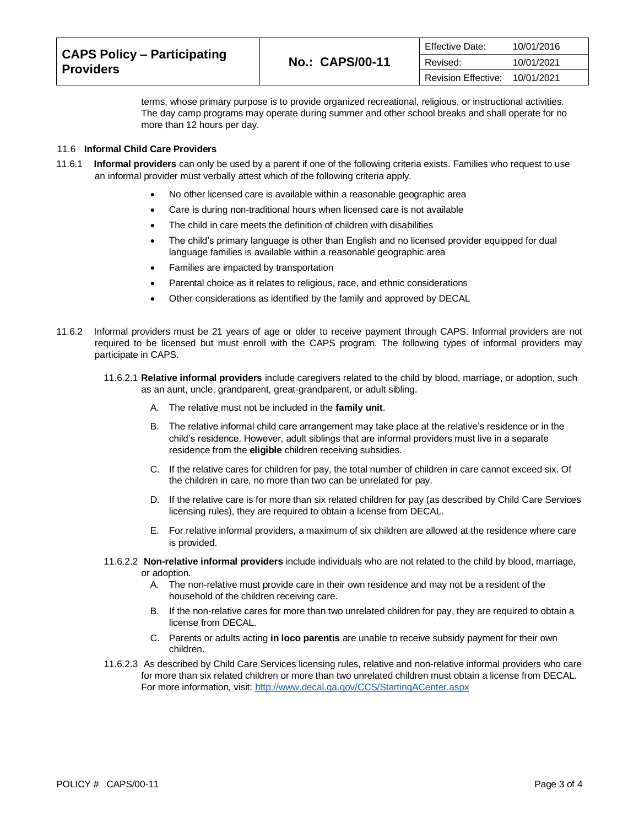| <b>CAPS Policy – Participating</b><br><b>Providers</b> | <b>Effective Date:</b><br><b>No.: CAPS/00-11</b><br>Revised:<br>Revision Effective: |            | 10/01/2016 |
|--------------------------------------------------------|-------------------------------------------------------------------------------------|------------|------------|
|                                                        |                                                                                     |            | 10/01/2021 |
|                                                        |                                                                                     | 10/01/2021 |            |

terms, whose primary purpose is to provide organized recreational, religious, or instructional activities. The day camp programs may operate during summer and other school breaks and shall operate for no more than 12 hours per day.

## 11.6 **Informal Child Care Providers**

- 11.6.1 **Informal providers** can only be used by a parent if one of the following criteria exists. Families who request to use an informal provider must verbally attest which of the following criteria apply.
	- No other licensed care is available within a reasonable geographic area
	- Care is during non-traditional hours when licensed care is not available
	- The child in care meets the definition of children with disabilities
	- The child's primary language is other than English and no licensed provider equipped for dual language families is available within a reasonable geographic area
	- Families are impacted by transportation
	- Parental choice as it relates to religious, race, and ethnic considerations
	- Other considerations as identified by the family and approved by DECAL
- 11.6.2 Informal providers must be 21 years of age or older to receive payment through CAPS. Informal providers are not required to be licensed but must enroll with the CAPS program. The following types of informal providers may participate in CAPS.
	- 11.6.2.1 **Relative informal providers** include caregivers related to the child by blood, marriage, or adoption, such as an aunt, uncle, grandparent, great-grandparent, or adult sibling.
		- A. The relative must not be included in the **family unit**.
		- B. The relative informal child care arrangement may take place at the relative's residence or in the child's residence. However, adult siblings that are informal providers must live in a separate residence from the **eligible** children receiving subsidies.
		- C. If the relative cares for children for pay, the total number of children in care cannot exceed six. Of the children in care, no more than two can be unrelated for pay.
		- D. If the relative care is for more than six related children for pay (as described by Child Care Services licensing rules), they are required to obtain a license from DECAL.
		- E. For relative informal providers, a maximum of six children are allowed at the residence where care is provided.
	- 11.6.2.2 **Non-relative informal providers** include individuals who are not related to the child by blood, marriage, or adoption.
		- A. The non-relative must provide care in their own residence and may not be a resident of the household of the children receiving care.
		- B. If the non-relative cares for more than two unrelated children for pay, they are required to obtain a license from DECAL.
		- C. Parents or adults acting **in loco parentis** are unable to receive subsidy payment for their own children.
	- 11.6.2.3 As described by Child Care Services licensing rules, relative and non-relative informal providers who care for more than six related children or more than two unrelated children must obtain a license from DECAL. For more information, visit:<http://www.decal.ga.gov/CCS/StartingACenter.aspx>